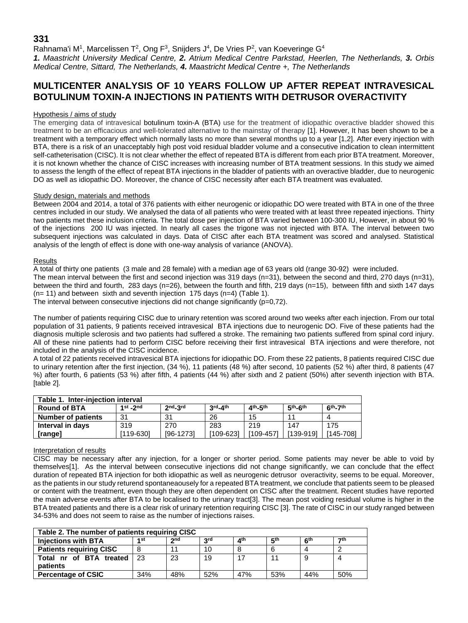# **331**

Rahnama'i M<sup>1</sup>, Marcelissen T<sup>2</sup>, Ong F<sup>3</sup>, Snijders J<sup>4</sup>, De Vries P<sup>2</sup>, van Koeveringe G<sup>4</sup>

*1. Maastricht University Medical Centre, 2. Atrium Medical Centre Parkstad, Heerlen, The Netherlands, 3. Orbis Medical Centre, Sittard, The Netherlands, 4. Maastricht Medical Centre +, The Netherlands*

# **MULTICENTER ANALYSIS OF 10 YEARS FOLLOW UP AFTER REPEAT INTRAVESICAL BOTULINUM TOXIN-A INJECTIONS IN PATIENTS WITH DETRUSOR OVERACTIVITY**

### Hypothesis / aims of study

The emerging data of intravesical botulinum toxin-A (BTA) use for the treatment of idiopathic overactive bladder showed this treatment to be an efficacious and well-tolerated alternative to the mainstay of therapy [1]. However, It has been shown to be a treatment with a temporary effect which normally lasts no more than several months up to a year [1,2]. After every injection with BTA, there is a risk of an unacceptably high post void residual bladder volume and a consecutive indication to clean intermittent self-catheterisation (CISC). It is not clear whether the effect of repeated BTA is different from each prior BTA treatment. Moreover, it is not known whether the chance of CISC increases with increasing number of BTA treatment sessions. In this study we aimed to assess the length of the effect of repeat BTA injections in the bladder of patients with an overactive bladder, due to neurogenic DO as well as idiopathic DO. Moreover, the chance of CISC necessity after each BTA treatment was evaluated.

# Study design, materials and methods

Between 2004 and 2014, a total of 376 patients with either neurogenic or idiopathic DO were treated with BTA in one of the three centres included in our study. We analysed the data of all patients who were treated with at least three repeated injections. Thirty two patients met these inclusion criteria. The total dose per injection of BTA varied between 100-300 IU, However, in about 90 % of the injections 200 IU was injected. In nearly all cases the trigone was not injected with BTA. The interval between two subsequent injections was calculated in days. Data of CISC after each BTA treatment was scored and analysed. Statistical analysis of the length of effect is done with one-way analysis of variance (ANOVA).

### **Results**

A total of thirty one patients (3 male and 28 female) with a median age of 63 years old (range 30-92) were included. The mean interval between the first and second injection was 319 days (n=31), between the second and third, 270 days (n=31), between the third and fourth, 283 days (n=26), between the fourth and fifth, 219 days (n=15), between fifth and sixth 147 days (n= 11) and between sixth and seventh injection 175 days (n=4) (Table 1).

The interval between consecutive injections did not change significantly  $(p=0,72)$ .

The number of patients requiring CISC due to urinary retention was scored around two weeks after each injection. From our total population of 31 patients, 9 patients received intravesical BTA injections due to neurogenic DO. Five of these patients had the diagnosis multiple sclerosis and two patients had suffered a stroke. The remaining two patients suffered from spinal cord injury. All of these nine patients had to perform CISC before receiving their first intravesical BTA injections and were therefore, not included in the analysis of the CISC incidence.

A total of 22 patients received intravesical BTA injections for idiopathic DO. From these 22 patients, 8 patients required CISC due to urinary retention after the first injection, (34 %), 11 patients (48 %) after second, 10 patients (52 %) after third, 8 patients (47 %) after fourth, 6 patients (53 %) after fifth, 4 patients (44 %) after sixth and 2 patient (50%) after seventh injection with BTA. [table 2].

| Table 1. Inter-injection interval |             |                 |                               |             |                        |           |  |  |  |  |
|-----------------------------------|-------------|-----------------|-------------------------------|-------------|------------------------|-----------|--|--|--|--|
| <b>Round of BTA</b>               | $1st$ - 2nd | 2 <sub>nd</sub> | $3^{\text{rd}}-4^{\text{th}}$ | $4th - 5th$ | $5th$ -6 <sup>th</sup> | $6th-7th$ |  |  |  |  |
| <b>Number of patients</b>         | 31          | 31              | 26                            | 15          | 1'                     |           |  |  |  |  |
| Interval in days                  | 319         | 270             | 283                           | 219         | 147                    | 175       |  |  |  |  |
| [range]                           | [119-630]   | [96-1273]       | [109-623]                     | [109-457]   | [139-919]              | [145-708] |  |  |  |  |

#### Interpretation of results

CISC may be necessary after any injection, for a longer or shorter period. Some patients may never be able to void by themselves[1]. As the interval between consecutive injections did not change significantly, we can conclude that the effect duration of repeated BTA injection for both idiopathic as well as neurogenic detrusor overactivity, seems to be equal. Moreover, as the patients in our study returend spontaneaousely for a repeated BTA treatment, we conclude that patients seem to be pleased or content with the treatment, even though they are often dependent on CISC after the treatment. Recent studies have reported the main adverse events after BTA to be localised to the urinary tract[3]. The mean post voiding residual volume is higher in the BTA treated patients and there is a clear risk of urinary retention requiring CISC [3]. The rate of CISC in our study ranged between 34-53% and does not seem to raise as the number of injections raises.

| Table 2. The number of patients requiring CISC |      |     |            |     |     |            |     |  |  |  |
|------------------------------------------------|------|-----|------------|-----|-----|------------|-----|--|--|--|
| <b>Injections with BTA</b>                     | 4 St | 2nd | <b>2rd</b> | ⊿th | らい  | <b>Ath</b> | 7th |  |  |  |
| <b>Patients requiring CISC</b>                 | 8    |     | 10         |     |     |            |     |  |  |  |
| Total nr of BTA treated                        | 23   | 23  | 19         | 17  | 11  |            |     |  |  |  |
| patients                                       |      |     |            |     |     |            |     |  |  |  |
| <b>Percentage of CSIC</b>                      | 34%  | 48% | 52%        | 47% | 53% | 44%        | 50% |  |  |  |